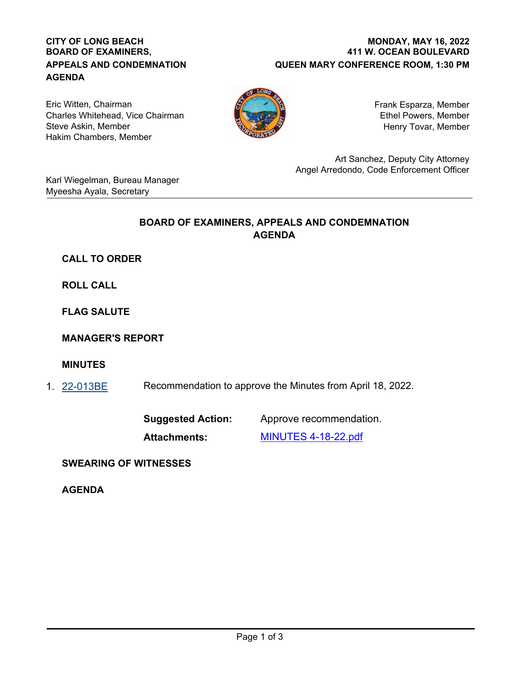#### **CITY OF LONG BEACH BOARD OF EXAMINERS, APPEALS AND CONDEMNATION AGENDA**

#### **411 W. OCEAN BOULEVARD QUEEN MARY CONFERENCE ROOM, 1:30 PM MONDAY, MAY 16, 2022**

Eric Witten, Chairman Charles Whitehead, Vice Chairman Steve Askin, Member Hakim Chambers, Member



Frank Esparza, Member Ethel Powers, Member Henry Tovar, Member

Art Sanchez, Deputy City Attorney Angel Arredondo, Code Enforcement Officer

Karl Wiegelman, Bureau Manager Myeesha Ayala, Secretary

## **BOARD OF EXAMINERS, APPEALS AND CONDEMNATION AGENDA**

# **CALL TO ORDER**

**ROLL CALL**

**FLAG SALUTE**

**MANAGER'S REPORT**

## **MINUTES**

1. [22-013BE](http://longbeach.legistar.com/gateway.aspx?M=L&ID=239501) Recommendation to approve the Minutes from April 18, 2022.

**Suggested Action:** Approve recommendation.

**Attachments:** [MINUTES 4-18-22.pdf](http://longbeach.legistar.com/gateway.aspx?M=F&ID=078bd65e-3807-42db-8b0f-31e75e6a1a6f.pdf)

**SWEARING OF WITNESSES**

**AGENDA**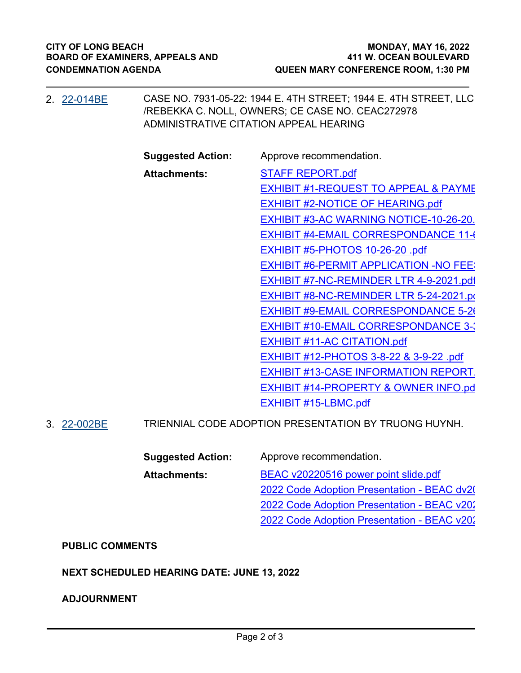| 2. 22-014BE | CASE NO. 7931-05-22: 1944 E. 4TH STREET; 1944 E. 4TH STREET, LLC<br>/REBEKKA C. NOLL, OWNERS; CE CASE NO. CEAC272978<br>ADMINISTRATIVE CITATION APPEAL HEARING |                                                 |
|-------------|----------------------------------------------------------------------------------------------------------------------------------------------------------------|-------------------------------------------------|
|             | <b>Suggested Action:</b>                                                                                                                                       | Approve recommendation.                         |
|             | <b>Attachments:</b>                                                                                                                                            | <b>STAFF REPORT.pdf</b>                         |
|             |                                                                                                                                                                | <b>EXHIBIT #1-REQUEST TO APPEAL &amp; PAYME</b> |
|             |                                                                                                                                                                | <b>EXHIBIT #2-NOTICE OF HEARING.pdf</b>         |
|             |                                                                                                                                                                | <b>EXHIBIT #3-AC WARNING NOTICE-10-26-20.</b>   |
|             |                                                                                                                                                                | <b>EXHIBIT #4-EMAIL CORRESPONDANCE 11-6</b>     |
|             |                                                                                                                                                                | EXHIBIT #5-PHOTOS 10-26-20 .pdf                 |
|             |                                                                                                                                                                | <b>EXHIBIT #6-PERMIT APPLICATION -NO FEE:</b>   |
|             |                                                                                                                                                                | <b>EXHIBIT #7-NC-REMINDER LTR 4-9-2021.pdf</b>  |
|             |                                                                                                                                                                | <b>EXHIBIT #8-NC-REMINDER LTR 5-24-2021.po</b>  |
|             |                                                                                                                                                                | EXHIBIT #9-EMAIL CORRESPONDANCE 5-20            |
|             |                                                                                                                                                                | <b>EXHIBIT #10-EMAIL CORRESPONDANCE 3-3</b>     |
|             |                                                                                                                                                                | <b>EXHIBIT #11-AC CITATION.pdf</b>              |
|             |                                                                                                                                                                | EXHIBIT #12-PHOTOS 3-8-22 & 3-9-22 .pdf         |
|             |                                                                                                                                                                | <b>EXHIBIT #13-CASE INFORMATION REPORT.</b>     |
|             |                                                                                                                                                                | <b>EXHIBIT #14-PROPERTY &amp; OWNER INFO.pd</b> |
|             |                                                                                                                                                                | EXHIBIT #15-LBMC.pdf                            |
|             |                                                                                                                                                                | $\overline{1}$                                  |

3. [22-002BE](http://longbeach.legistar.com/gateway.aspx?M=L&ID=238302) TRIENNIAL CODE ADOPTION PRESENTATION BY TRUONG HUYNH.

**Suggested Action:** Approve recommendation. **Attachments:** [BEAC v20220516 power point slide.pdf](http://longbeach.legistar.com/gateway.aspx?M=F&ID=1b3b7080-97cc-496a-8604-14d2402386ad.pdf) 2022 Code Adoption Presentation - BEAC dv20 2022 Code Adoption Presentation - BEAC v202 2022 Code Adoption Presentation - BEAC v202

## **PUBLIC COMMENTS**

## **NEXT SCHEDULED HEARING DATE: JUNE 13, 2022**

#### **ADJOURNMENT**